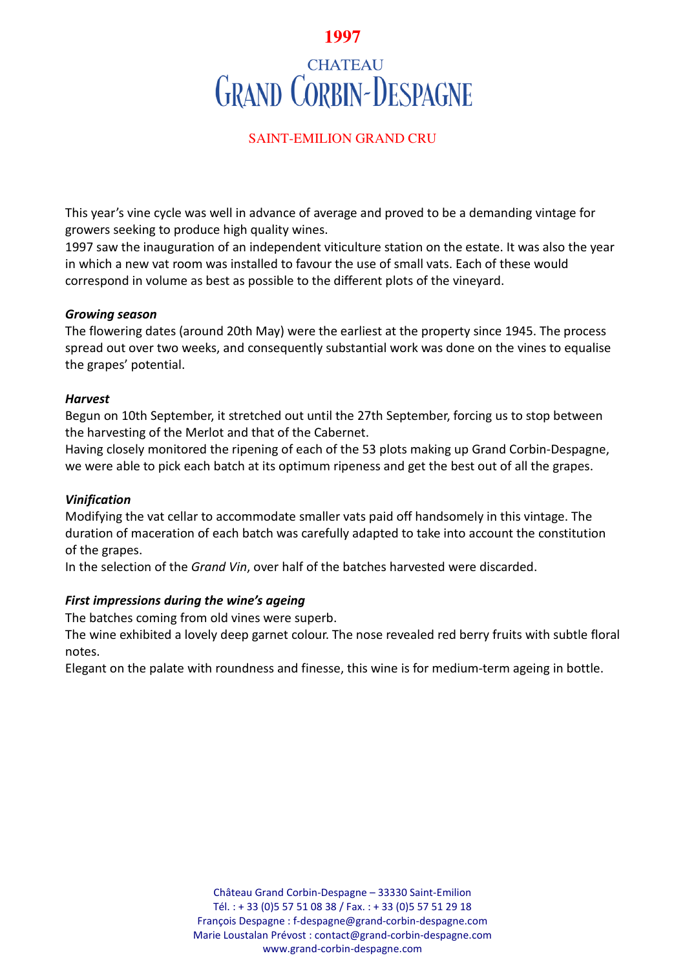# **1997**

# **CHATEAU GRAND CORBIN-DESPAGNE**

## SAINT-EMILION GRAND CRU

This year's vine cycle was well in advance of average and proved to be a demanding vintage for growers seeking to produce high quality wines.

1997 saw the inauguration of an independent viticulture station on the estate. It was also the year in which a new vat room was installed to favour the use of small vats. Each of these would correspond in volume as best as possible to the different plots of the vineyard.

#### *Growing season*

The flowering dates (around 20th May) were the earliest at the property since 1945. The process spread out over two weeks, and consequently substantial work was done on the vines to equalise the grapes' potential.

#### *Harvest*

Begun on 10th September, it stretched out until the 27th September, forcing us to stop between the harvesting of the Merlot and that of the Cabernet.

Having closely monitored the ripening of each of the 53 plots making up Grand Corbin-Despagne, we were able to pick each batch at its optimum ripeness and get the best out of all the grapes.

## *Vinification*

Modifying the vat cellar to accommodate smaller vats paid off handsomely in this vintage. The duration of maceration of each batch was carefully adapted to take into account the constitution of the grapes.

In the selection of the *Grand Vin*, over half of the batches harvested were discarded.

## *First impressions during the wine's ageing*

The batches coming from old vines were superb.

The wine exhibited a lovely deep garnet colour. The nose revealed red berry fruits with subtle floral notes.

Elegant on the palate with roundness and finesse, this wine is for medium-term ageing in bottle.